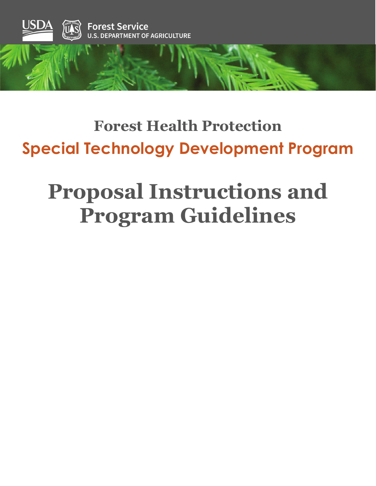

## **Forest Health Protection Special Technology Development Program**

# **Proposal Instructions and Program Guidelines**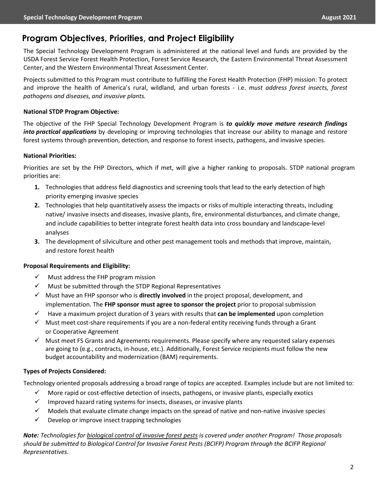## **Program Objectives, Priorities, and Project Eligibility**

The Special Technology Development Program is administered at the national level and funds are provided by the USDA Forest Service Forest Health Protection, Forest Service Research, the Eastern Environmental Threat Assessment Center, and the Western Environmental Threat Assessment Center.

Projects submitted to this Program must contribute to fulfilling the Forest Health Protection (FHP) mission: To protect and improve the health of America's rural, wildland, and urban forests - i.e. *must address forest insects, forest pathogens and diseases, and invasive plants.*

## **National STDP Program Objective:**

The objective of the FHP Special Technology Development Program is *to quickly move mature research findings into practical applications* by developing or improving technologies that increase our ability to manage and restore forest systems through prevention, detection, and response to forest insects, pathogens, and invasive species.

## **National Priorities:**

Priorities are set by the FHP Directors, which if met, will give a higher ranking to proposals. STDP national program priorities are:

- **1.** Technologies that address field diagnostics and screening tools that lead to the early detection of high priority emerging invasive species
- **2.** Technologies that help quantitatively assess the impacts or risks of multiple interacting threats, including native/ invasive insects and diseases, invasive plants, fire, environmental disturbances, and climate change, and include capabilities to better integrate forest health data into cross boundary and landscape-level analyses
- **3.** The development of silviculture and other pest management tools and methods that improve, maintain, and restore forest health

### **Proposal Requirements and Eligibility:**

- $\checkmark$  Must address the FHP program mission
- $\checkmark$  Must be submitted through the STDP Regional Representatives
- Must have an FHP sponsor who is **directly involved** in the project proposal, development, and implementation. The **FHP sponsor must agree to sponsor the project** prior to proposal submission
- $\checkmark$  Have a maximum project duration of 3 years with results that **can be implemented** upon completion
- $\checkmark$  Must meet cost-share requirements if you are a non-federal entity receiving funds through a Grant or Cooperative Agreement
- $\checkmark$  Must meet FS Grants and Agreements requirements. Please specify where any requested salary expenses are going to (e.g., contracts, in-house, etc.). Additionally, Forest Service recipients must follow the new budget accountability and modernization (BAM) requirements.

## **Types of Projects Considered:**

Technology oriented proposals addressing a broad range of topics are accepted. Examples include but are not limited to:

- $\checkmark$  More rapid or cost-effective detection of insects, pathogens, or invasive plants, especially exotics
- $\checkmark$  Improved hazard rating systems for insects, diseases, or invasive plants
- $\checkmark$  Models that evaluate climate change impacts on the spread of native and non-native invasive species
- $\checkmark$  Develop or improve insect trapping technologies

*Note: Technologies for biological control of invasive forest pests is covered under another Program! Those proposals should be submitted to Biological Control for Invasive Forest Pests (BCIFP) Program through the BCIFP Regional Representatives.*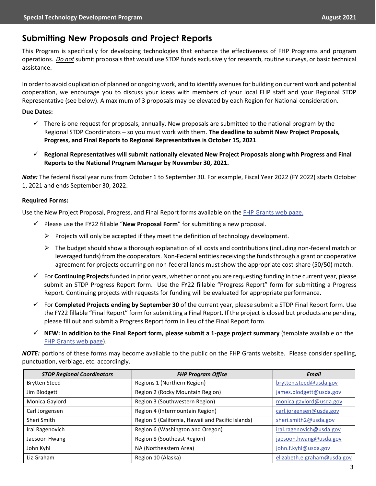## **Submitting New Proposals and Project Reports**

This Program is specifically for developing technologies that enhance the effectiveness of FHP Programs and program operations. *Do not*submit proposals that would use STDP funds exclusively for research, routine surveys, or basic technical assistance.

In order to avoid duplication of planned or ongoing work, and to identify avenues for building on current work and potential cooperation, we encourage you to discuss your ideas with members of your local FHP staff and your Regional STDP Representative (see below). A maximum of 3 proposals may be elevated by each Region for National consideration.

#### **Due Dates:**

- $\checkmark$  There is one request for proposals, annually. New proposals are submitted to the national program by the Regional STDP Coordinators – so you must work with them. **The deadline to submit New Project Proposals, Progress, and Final Reports to Regional Representatives is October 15, 2021**.
- **Regional Representatives will submit nationally elevated New Project Proposals along with Progress and Final Reports to the National Program Manager by November 30, 2021.**

*Note:* The federal fiscal year runs from October 1 to September 30. For example, Fiscal Year 2022 (FY 2022) starts October 1, 2021 and ends September 30, 2022.

#### **Required Forms:**

Use the New Project Proposal, Progress, and Final Report forms available on the [FHP Grants web](https://www.fs.fed.us/foresthealth/working-with-us/index.shtml) page.

- $\checkmark$  Please use the FY22 fillable "**New Proposal Form**" for submitting a new proposal.
	- $\triangleright$  Projects will only be accepted if they meet the definition of technology development.
	- $\triangleright$  The budget should show a thorough explanation of all costs and contributions (including non-federal match or leveraged funds) from the cooperators. Non-Federal entities receiving the funds through a grant or cooperative agreement for projects occurring on non-federal lands must show the appropriate cost-share (50/50) match.
- For **Continuing Projects**funded in prior years, whether or not you are requesting funding in the current year, please submit an STDP Progress Report form. Use the FY22 fillable "Progress Report" form for submitting a Progress Report. Continuing projects with requests for funding will be evaluated for appropriate performance.
- For **Completed Projects ending by September 30** of the current year, please submit a STDP Final Report form. Use the FY22 fillable "Final Report" form for submitting a Final Report. If the project is closed but products are pending, please fill out and submit a Progress Report form in lieu of the Final Report form.
- **NEW: In addition to the Final Report form, please submit a 1-page project summary** (template available on the [FHP Grants web page\)](https://www.fs.fed.us/foresthealth/working-with-us/index.shtml).

*NOTE:* portions of these forms may become available to the public on the FHP Grants website. Please consider spelling, punctuation, verbiage, etc. accordingly.

| <b>STDP Regional Coordinators</b> | <b>FHP Program Office</b>                         | <b>Email</b>                |
|-----------------------------------|---------------------------------------------------|-----------------------------|
| <b>Brytten Steed</b>              | Regions 1 (Northern Region)                       | brytten.steed@usda.gov      |
| Jim Blodgett                      | Region 2 (Rocky Mountain Region)                  | james.blodgett@usda.gov     |
| Monica Gaylord                    | Region 3 (Southwestern Region)                    | monica.gaylord@usda.gov     |
| Carl Jorgensen                    | Region 4 (Intermountain Region)                   | carl.jorgensen@usda.gov     |
| Sheri Smith                       | Region 5 (California, Hawaii and Pacific Islands) | sheri.smith2@usda.gov       |
| Iral Ragenovich                   | Region 6 (Washington and Oregon)                  | iral.ragenovich@usda.gov    |
| Jaesoon Hwang                     | Region 8 (Southeast Region)                       | jaesoon.hwang@usda.gov      |
| John Kyhl                         | NA (Northeastern Area)                            | john.f.kyhl@usda.gov        |
| Liz Graham                        | Region 10 (Alaska)                                | elizabeth.e.graham@usda.gov |